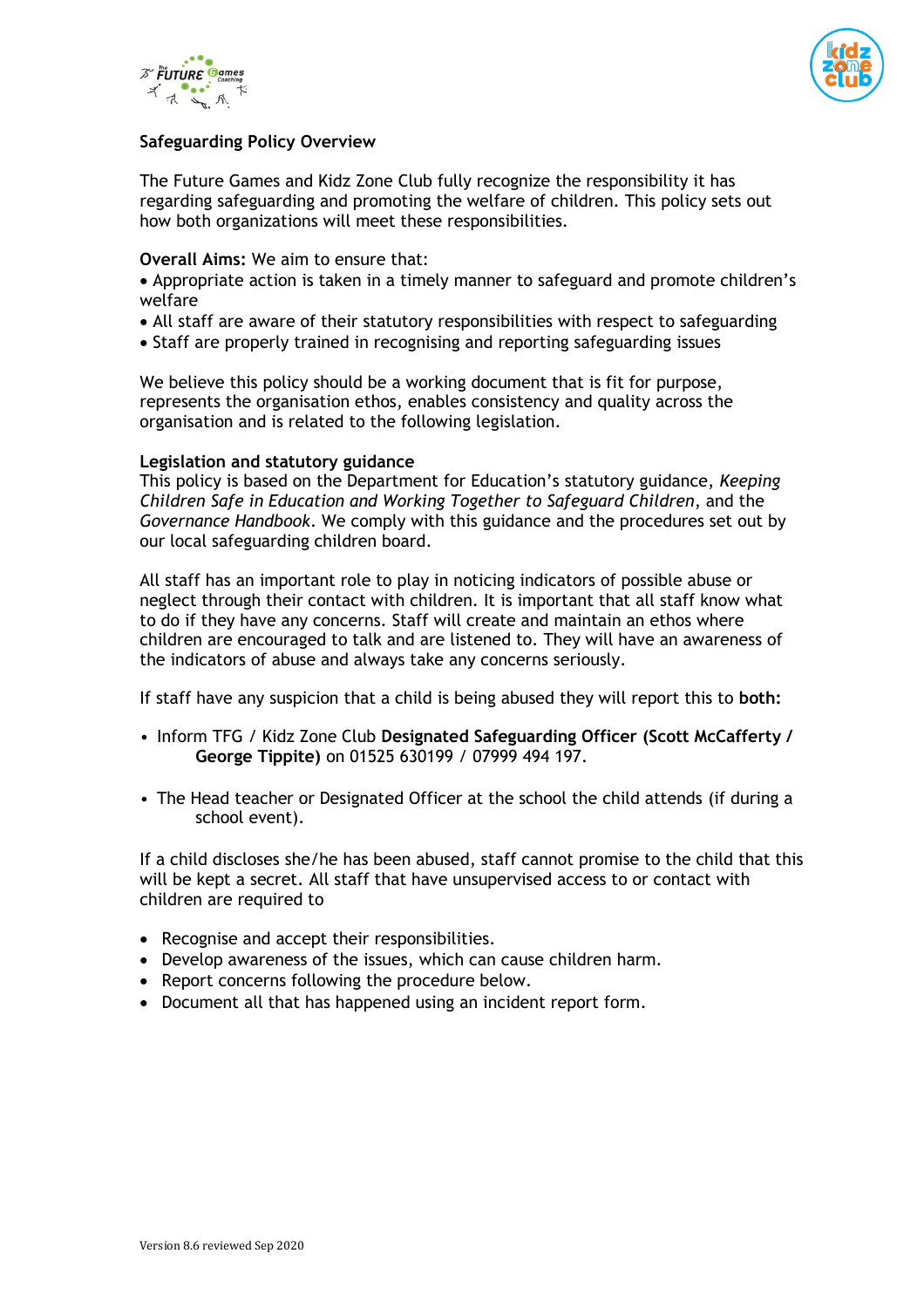



# **Safeguarding Policy Overview**

The Future Games and Kidz Zone Club fully recognize the responsibility it has regarding safeguarding and promoting the welfare of children. This policy sets out how both organizations will meet these responsibilities.

#### **Overall Aims:** We aim to ensure that:

- Appropriate action is taken in a timely manner to safeguard and promote children's welfare
- All staff are aware of their statutory responsibilities with respect to safeguarding
- Staff are properly trained in recognising and reporting safeguarding issues

We believe this policy should be a working document that is fit for purpose, represents the organisation ethos, enables consistency and quality across the organisation and is related to the following legislation.

#### **Legislation and statutory guidance**

This policy is based on the Department for Education's statutory guidance, *Keeping Children Safe in Education and Working Together to Safeguard Children*, and the *Governance Handbook*. We comply with this guidance and the procedures set out by our local safeguarding children board.

All staff has an important role to play in noticing indicators of possible abuse or neglect through their contact with children. It is important that all staff know what to do if they have any concerns. Staff will create and maintain an ethos where children are encouraged to talk and are listened to. They will have an awareness of the indicators of abuse and always take any concerns seriously.

If staff have any suspicion that a child is being abused they will report this to **both:**

- Inform TFG / Kidz Zone Club **Designated Safeguarding Officer (Scott McCafferty / George Tippite)** on 01525 630199 / 07999 494 197.
- The Head teacher or Designated Officer at the school the child attends (if during a school event).

If a child discloses she/he has been abused, staff cannot promise to the child that this will be kept a secret. All staff that have unsupervised access to or contact with children are required to

- Recognise and accept their responsibilities.
- Develop awareness of the issues, which can cause children harm.
- Report concerns following the procedure below.
- Document all that has happened using an incident report form.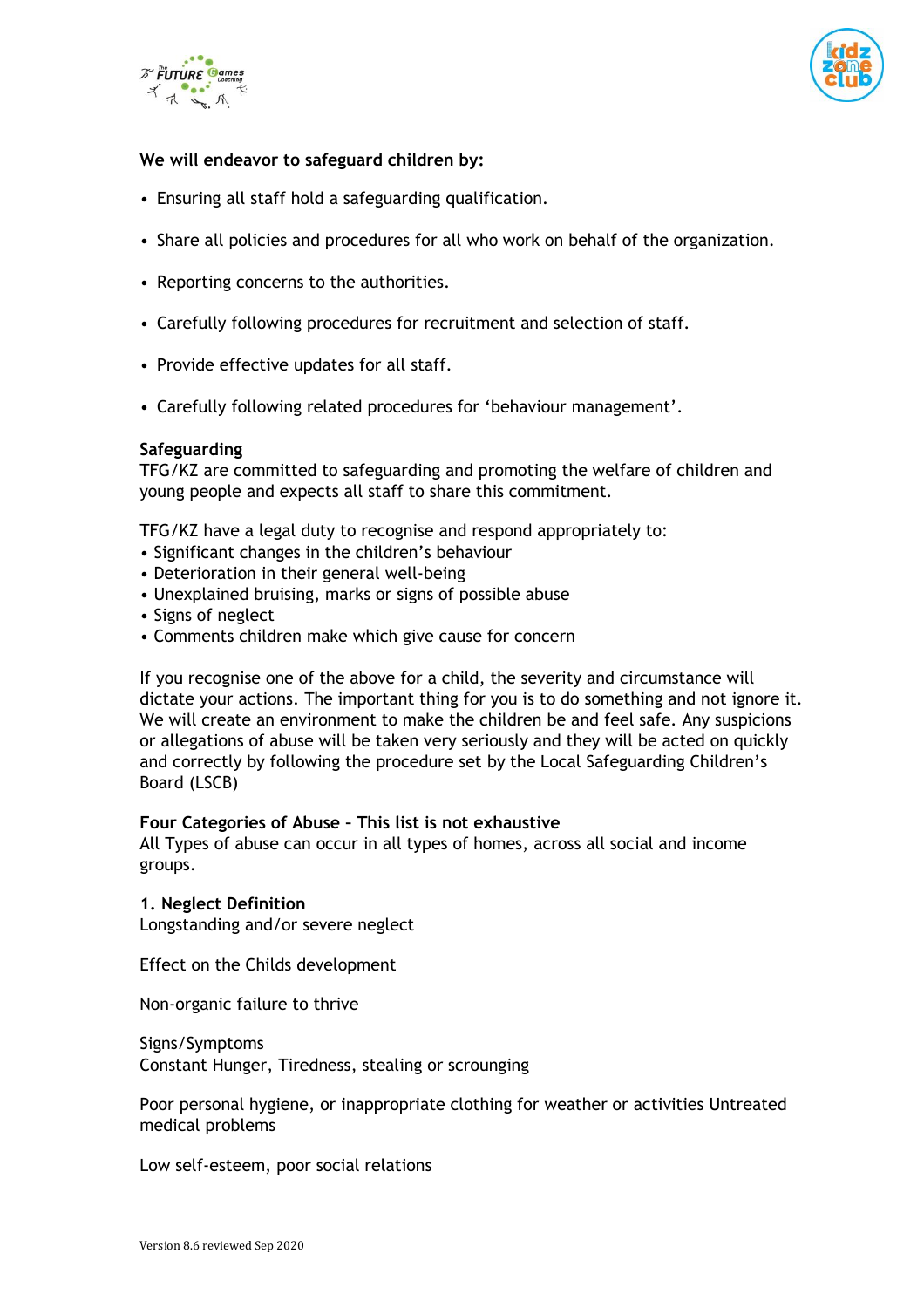



# **We will endeavor to safeguard children by:**

- Ensuring all staff hold a safeguarding qualification.
- Share all policies and procedures for all who work on behalf of the organization.
- Reporting concerns to the authorities.
- Carefully following procedures for recruitment and selection of staff.
- Provide effective updates for all staff.
- Carefully following related procedures for 'behaviour management'.

#### **Safeguarding**

TFG/KZ are committed to safeguarding and promoting the welfare of children and young people and expects all staff to share this commitment.

TFG/KZ have a legal duty to recognise and respond appropriately to:

- Significant changes in the children's behaviour
- Deterioration in their general well-being
- Unexplained bruising, marks or signs of possible abuse
- Signs of neglect
- Comments children make which give cause for concern

If you recognise one of the above for a child, the severity and circumstance will dictate your actions. The important thing for you is to do something and not ignore it. We will create an environment to make the children be and feel safe. Any suspicions or allegations of abuse will be taken very seriously and they will be acted on quickly and correctly by following the procedure set by the Local Safeguarding Children's Board (LSCB)

#### **Four Categories of Abuse – This list is not exhaustive**

All Types of abuse can occur in all types of homes, across all social and income groups.

#### **1. Neglect Definition**

Longstanding and/or severe neglect

Effect on the Childs development

Non-organic failure to thrive

Signs/Symptoms Constant Hunger, Tiredness, stealing or scrounging

Poor personal hygiene, or inappropriate clothing for weather or activities Untreated medical problems

Low self-esteem, poor social relations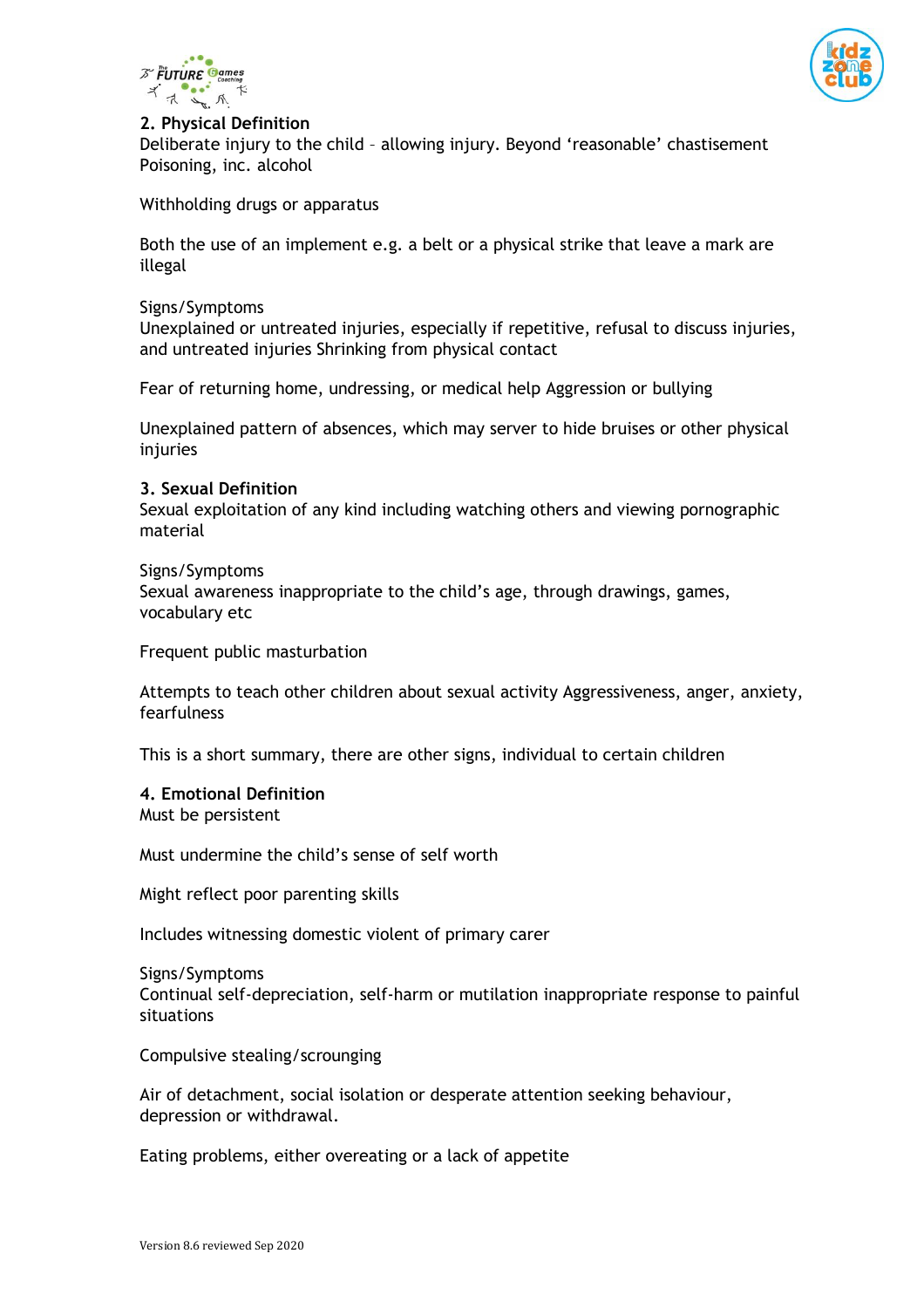



# **2. Physical Definition**

Deliberate injury to the child – allowing injury. Beyond 'reasonable' chastisement Poisoning, inc. alcohol

Withholding drugs or apparatus

Both the use of an implement e.g. a belt or a physical strike that leave a mark are illegal

#### Signs/Symptoms

Unexplained or untreated injuries, especially if repetitive, refusal to discuss injuries, and untreated injuries Shrinking from physical contact

Fear of returning home, undressing, or medical help Aggression or bullying

Unexplained pattern of absences, which may server to hide bruises or other physical injuries

#### **3. Sexual Definition**

Sexual exploitation of any kind including watching others and viewing pornographic material

Signs/Symptoms Sexual awareness inappropriate to the child's age, through drawings, games, vocabulary etc

Frequent public masturbation

Attempts to teach other children about sexual activity Aggressiveness, anger, anxiety, fearfulness

This is a short summary, there are other signs, individual to certain children

#### **4. Emotional Definition**

Must be persistent

Must undermine the child's sense of self worth

Might reflect poor parenting skills

Includes witnessing domestic violent of primary carer

Signs/Symptoms Continual self-depreciation, self-harm or mutilation inappropriate response to painful situations

Compulsive stealing/scrounging

Air of detachment, social isolation or desperate attention seeking behaviour, depression or withdrawal.

Eating problems, either overeating or a lack of appetite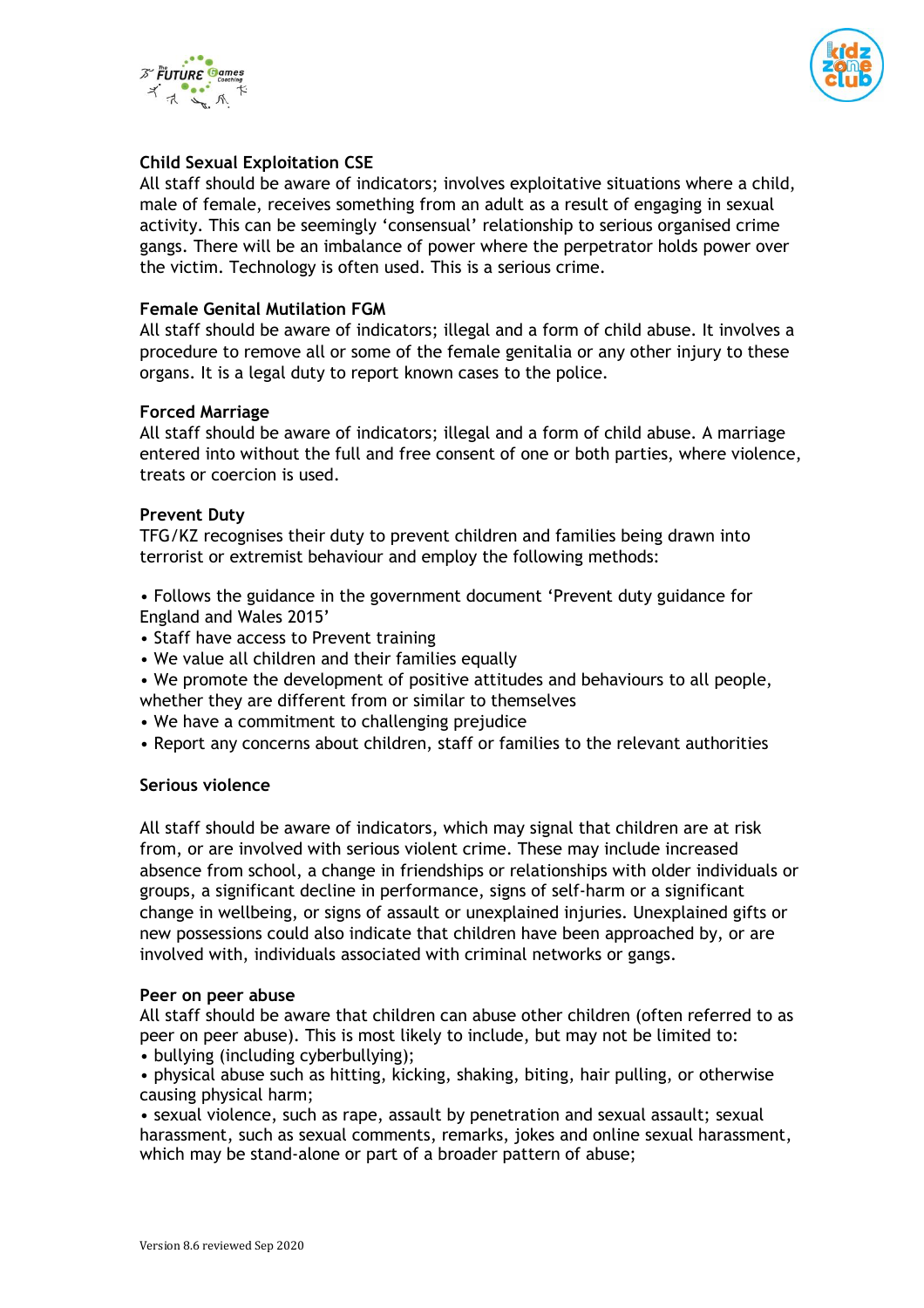



# **Child Sexual Exploitation CSE**

All staff should be aware of indicators; involves exploitative situations where a child, male of female, receives something from an adult as a result of engaging in sexual activity. This can be seemingly 'consensual' relationship to serious organised crime gangs. There will be an imbalance of power where the perpetrator holds power over the victim. Technology is often used. This is a serious crime.

#### **Female Genital Mutilation FGM**

All staff should be aware of indicators; illegal and a form of child abuse. It involves a procedure to remove all or some of the female genitalia or any other injury to these organs. It is a legal duty to report known cases to the police.

#### **Forced Marriage**

All staff should be aware of indicators; illegal and a form of child abuse. A marriage entered into without the full and free consent of one or both parties, where violence, treats or coercion is used.

#### **Prevent Duty**

TFG/KZ recognises their duty to prevent children and families being drawn into terrorist or extremist behaviour and employ the following methods:

• Follows the guidance in the government document 'Prevent duty guidance for England and Wales 2015'

- Staff have access to Prevent training
- We value all children and their families equally
- We promote the development of positive attitudes and behaviours to all people, whether they are different from or similar to themselves
- We have a commitment to challenging prejudice
- Report any concerns about children, staff or families to the relevant authorities

## **Serious violence**

All staff should be aware of indicators, which may signal that children are at risk from, or are involved with serious violent crime. These may include increased absence from school, a change in friendships or relationships with older individuals or groups, a significant decline in performance, signs of self-harm or a significant change in wellbeing, or signs of assault or unexplained injuries. Unexplained gifts or new possessions could also indicate that children have been approached by, or are involved with, individuals associated with criminal networks or gangs.

#### **Peer on peer abuse**

All staff should be aware that children can abuse other children (often referred to as peer on peer abuse). This is most likely to include, but may not be limited to:

• bullying (including cyberbullying);

• physical abuse such as hitting, kicking, shaking, biting, hair pulling, or otherwise causing physical harm;

• sexual violence, such as rape, assault by penetration and sexual assault; sexual harassment, such as sexual comments, remarks, jokes and online sexual harassment, which may be stand-alone or part of a broader pattern of abuse;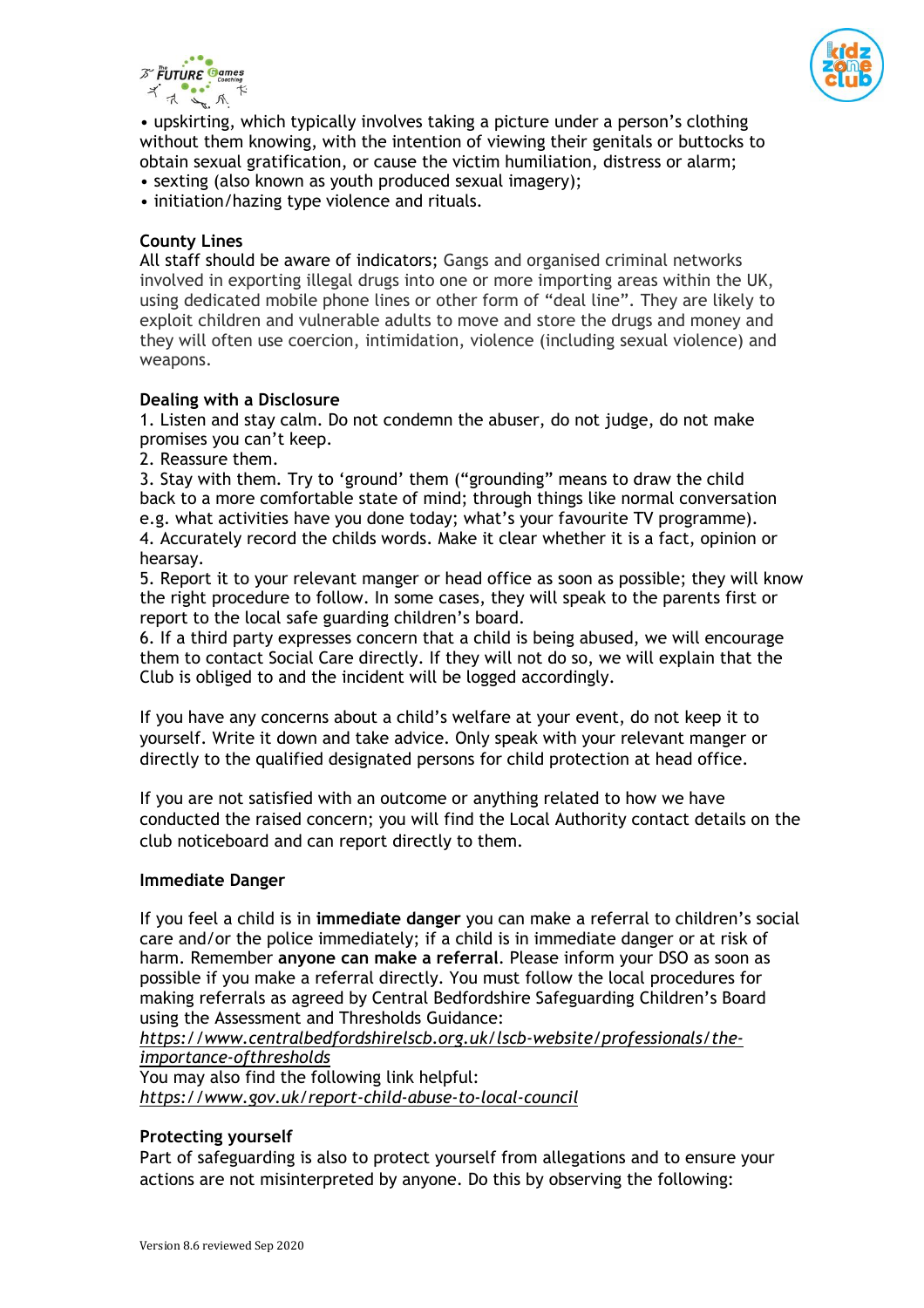



• upskirting, which typically involves taking a picture under a person's clothing without them knowing, with the intention of viewing their genitals or buttocks to obtain sexual gratification, or cause the victim humiliation, distress or alarm;

- sexting (also known as youth produced sexual imagery);
- initiation/hazing type violence and rituals.

# **County Lines**

All staff should be aware of indicators; Gangs and organised criminal networks involved in exporting illegal drugs into one or more importing areas within the UK, using dedicated mobile phone lines or other form of "deal line". They are likely to exploit children and vulnerable adults to move and store the drugs and money and they will often use coercion, intimidation, violence (including sexual violence) and weapons.

## **Dealing with a Disclosure**

1. Listen and stay calm. Do not condemn the abuser, do not judge, do not make promises you can't keep.

2. Reassure them.

3. Stay with them. Try to 'ground' them ("grounding" means to draw the child back to a more comfortable state of mind; through things like normal conversation e.g. what activities have you done today; what's your favourite TV programme). 4. Accurately record the childs words. Make it clear whether it is a fact, opinion or hearsay.

5. Report it to your relevant manger or head office as soon as possible; they will know the right procedure to follow. In some cases, they will speak to the parents first or report to the local safe guarding children's board.

6. If a third party expresses concern that a child is being abused, we will encourage them to contact Social Care directly. If they will not do so, we will explain that the Club is obliged to and the incident will be logged accordingly.

If you have any concerns about a child's welfare at your event, do not keep it to yourself. Write it down and take advice. Only speak with your relevant manger or directly to the qualified designated persons for child protection at head office.

If you are not satisfied with an outcome or anything related to how we have conducted the raised concern; you will find the Local Authority contact details on the club noticeboard and can report directly to them.

## **Immediate Danger**

If you feel a child is in **immediate danger** you can make a referral to children's social care and/or the police immediately; if a child is in immediate danger or at risk of harm. Remember **anyone can make a referral**. Please inform your DSO as soon as possible if you make a referral directly. You must follow the local procedures for making referrals as agreed by Central Bedfordshire Safeguarding Children's Board using the Assessment and Thresholds Guidance:

## *[https://www.centralbedfordshirelscb.org.uk/lscb-website/professionals/the](https://www.centralbedfordshirelscb.org.uk/lscb-website/professionals/the-importance-ofthresholds)[importance-ofthresholds](https://www.centralbedfordshirelscb.org.uk/lscb-website/professionals/the-importance-ofthresholds)*

You may also find the following link helpful: *<https://www.gov.uk/report-child-abuse-to-local-council>*

## **Protecting yourself**

Part of safeguarding is also to protect yourself from allegations and to ensure your actions are not misinterpreted by anyone. Do this by observing the following: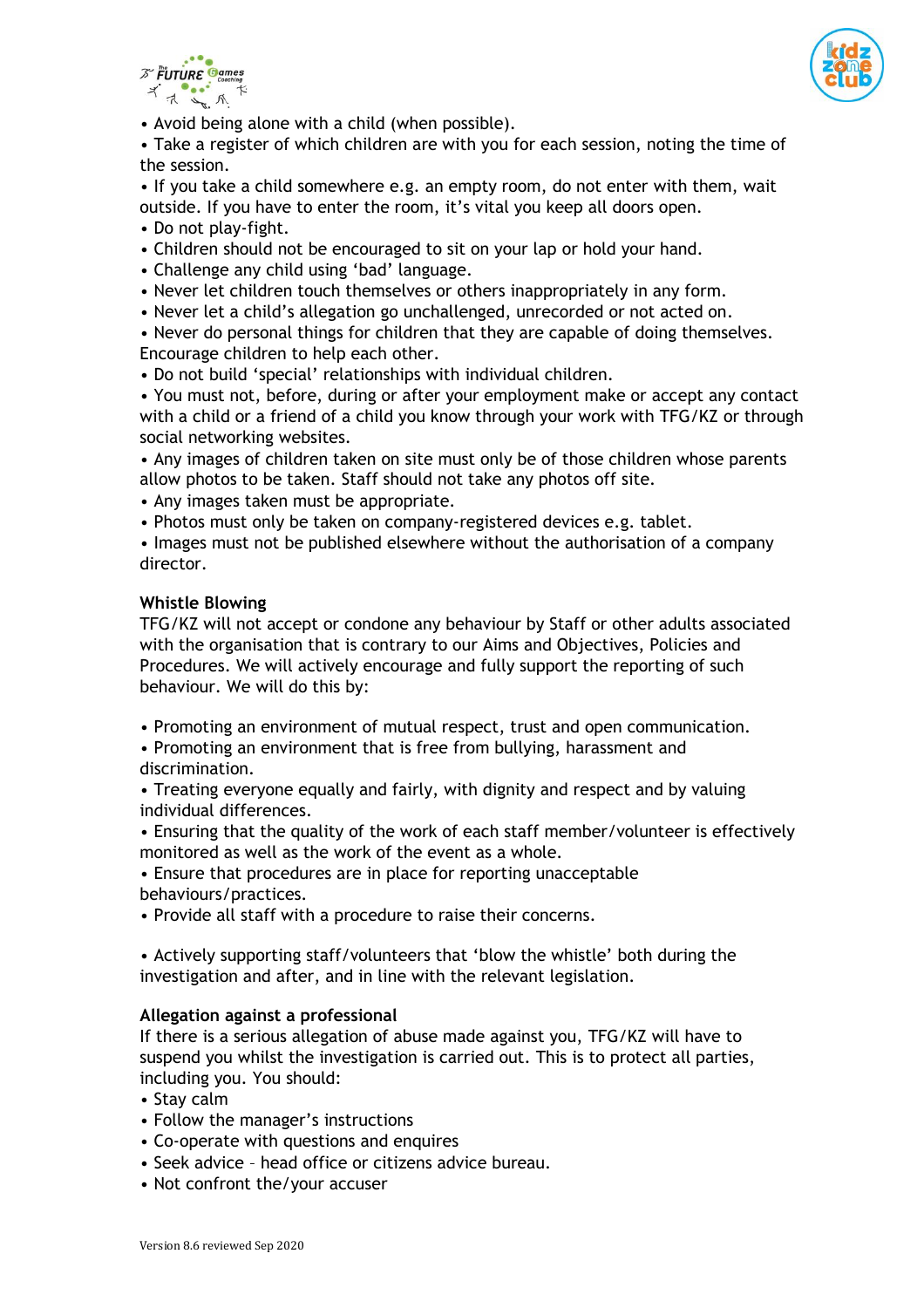



• Avoid being alone with a child (when possible).

• Take a register of which children are with you for each session, noting the time of the session.

• If you take a child somewhere e.g. an empty room, do not enter with them, wait outside. If you have to enter the room, it's vital you keep all doors open.

- Do not play-fight.
- Children should not be encouraged to sit on your lap or hold your hand.
- Challenge any child using 'bad' language.
- Never let children touch themselves or others inappropriately in any form.
- Never let a child's allegation go unchallenged, unrecorded or not acted on.
- Never do personal things for children that they are capable of doing themselves. Encourage children to help each other.
- Do not build 'special' relationships with individual children.

• You must not, before, during or after your employment make or accept any contact with a child or a friend of a child you know through your work with TFG/KZ or through social networking websites.

• Any images of children taken on site must only be of those children whose parents allow photos to be taken. Staff should not take any photos off site.

• Any images taken must be appropriate.

• Photos must only be taken on company-registered devices e.g. tablet.

• Images must not be published elsewhere without the authorisation of a company director.

#### **Whistle Blowing**

TFG/KZ will not accept or condone any behaviour by Staff or other adults associated with the organisation that is contrary to our Aims and Objectives, Policies and Procedures. We will actively encourage and fully support the reporting of such behaviour. We will do this by:

- Promoting an environment of mutual respect, trust and open communication.
- Promoting an environment that is free from bullying, harassment and discrimination.
- Treating everyone equally and fairly, with dignity and respect and by valuing individual differences.
- Ensuring that the quality of the work of each staff member/volunteer is effectively monitored as well as the work of the event as a whole.

• Ensure that procedures are in place for reporting unacceptable behaviours/practices.

• Provide all staff with a procedure to raise their concerns.

• Actively supporting staff/volunteers that 'blow the whistle' both during the investigation and after, and in line with the relevant legislation.

## **Allegation against a professional**

If there is a serious allegation of abuse made against you, TFG/KZ will have to suspend you whilst the investigation is carried out. This is to protect all parties, including you. You should:

- Stay calm
- Follow the manager's instructions
- Co-operate with questions and enquires
- Seek advice head office or citizens advice bureau.
- Not confront the/your accuser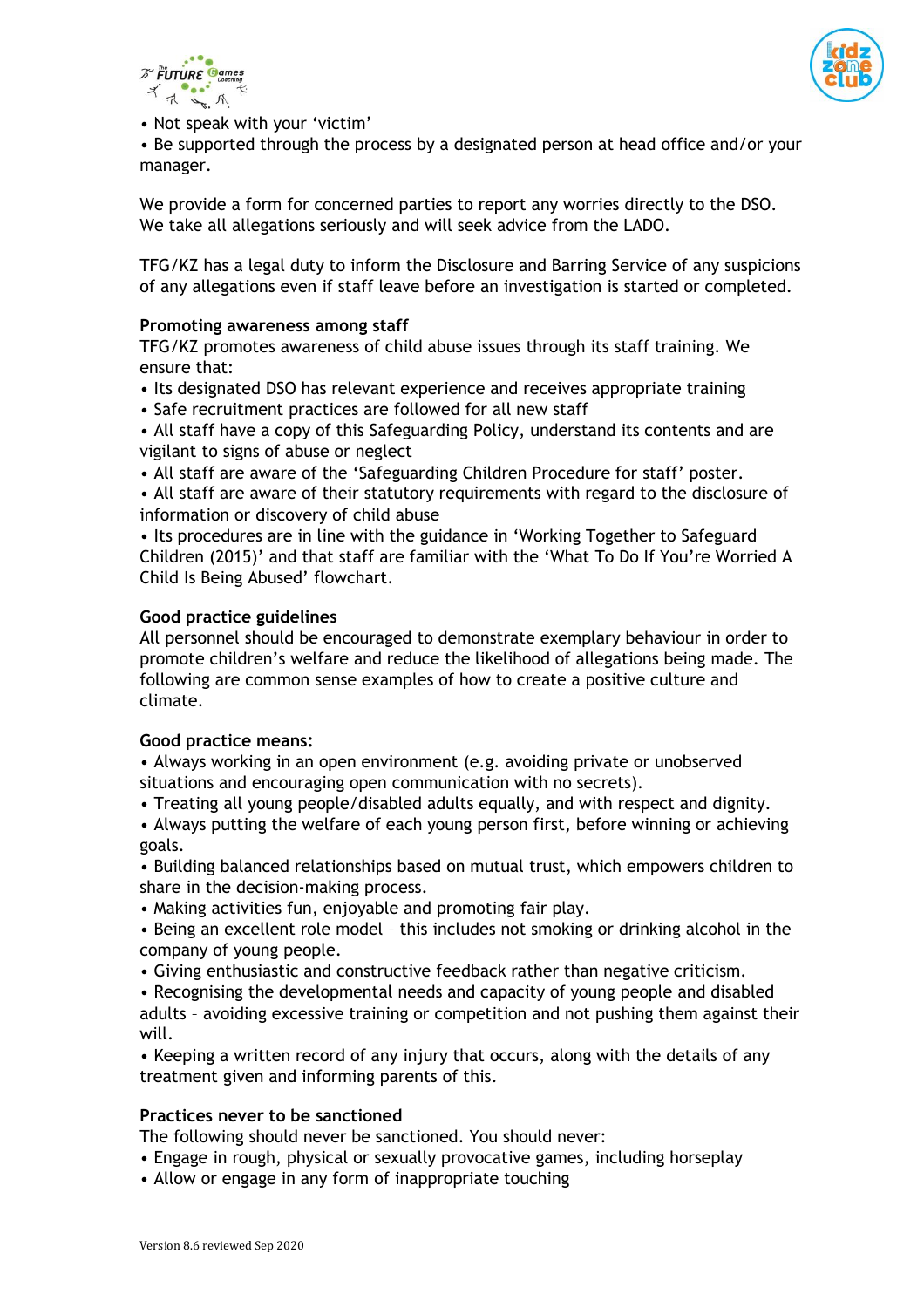



• Not speak with your 'victim'

• Be supported through the process by a designated person at head office and/or your manager.

We provide a form for concerned parties to report any worries directly to the DSO. We take all allegations seriously and will seek advice from the LADO.

TFG/KZ has a legal duty to inform the Disclosure and Barring Service of any suspicions of any allegations even if staff leave before an investigation is started or completed.

# **Promoting awareness among staff**

TFG/KZ promotes awareness of child abuse issues through its staff training. We ensure that:

- Its designated DSO has relevant experience and receives appropriate training
- Safe recruitment practices are followed for all new staff
- All staff have a copy of this Safeguarding Policy, understand its contents and are vigilant to signs of abuse or neglect
- All staff are aware of the 'Safeguarding Children Procedure for staff' poster.
- All staff are aware of their statutory requirements with regard to the disclosure of information or discovery of child abuse

• Its procedures are in line with the guidance in 'Working Together to Safeguard Children (2015)' and that staff are familiar with the 'What To Do If You're Worried A Child Is Being Abused' flowchart.

## **Good practice guidelines**

All personnel should be encouraged to demonstrate exemplary behaviour in order to promote children's welfare and reduce the likelihood of allegations being made. The following are common sense examples of how to create a positive culture and climate.

## **Good practice means:**

• Always working in an open environment (e.g. avoiding private or unobserved situations and encouraging open communication with no secrets).

• Treating all young people/disabled adults equally, and with respect and dignity.

• Always putting the welfare of each young person first, before winning or achieving goals.

• Building balanced relationships based on mutual trust, which empowers children to share in the decision-making process.

- Making activities fun, enjoyable and promoting fair play.
- Being an excellent role model this includes not smoking or drinking alcohol in the company of young people.
- Giving enthusiastic and constructive feedback rather than negative criticism.

• Recognising the developmental needs and capacity of young people and disabled adults – avoiding excessive training or competition and not pushing them against their will.

• Keeping a written record of any injury that occurs, along with the details of any treatment given and informing parents of this.

## **Practices never to be sanctioned**

The following should never be sanctioned. You should never:

- Engage in rough, physical or sexually provocative games, including horseplay
- Allow or engage in any form of inappropriate touching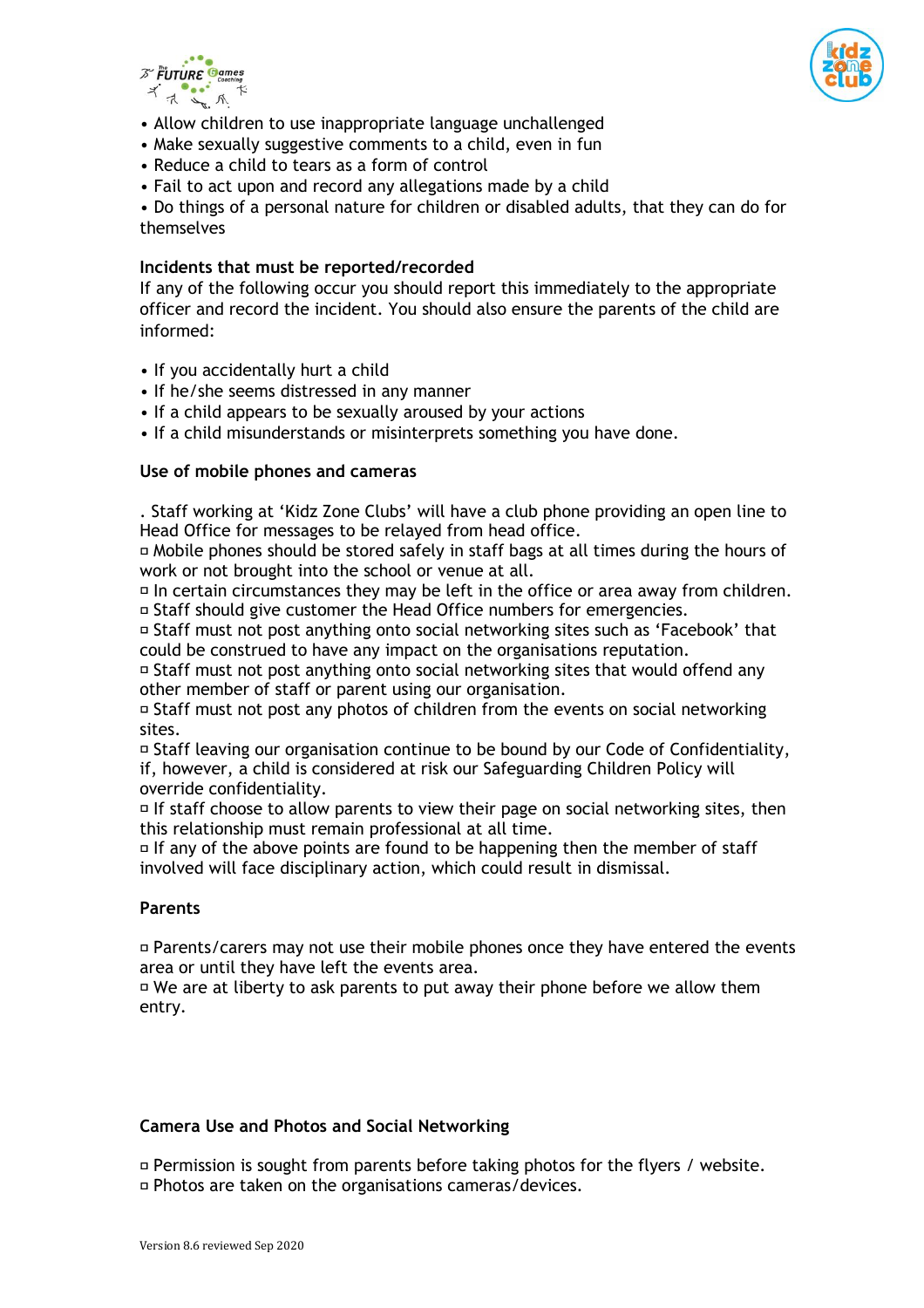



- Allow children to use inappropriate language unchallenged
- Make sexually suggestive comments to a child, even in fun
- Reduce a child to tears as a form of control
- Fail to act upon and record any allegations made by a child

• Do things of a personal nature for children or disabled adults, that they can do for themselves

#### **Incidents that must be reported/recorded**

If any of the following occur you should report this immediately to the appropriate officer and record the incident. You should also ensure the parents of the child are informed:

- If you accidentally hurt a child
- If he/she seems distressed in any manner
- If a child appears to be sexually aroused by your actions
- If a child misunderstands or misinterprets something you have done.

## **Use of mobile phones and cameras**

. Staff working at 'Kidz Zone Clubs' will have a club phone providing an open line to Head Office for messages to be relayed from head office.

Mobile phones should be stored safely in staff bags at all times during the hours of work or not brought into the school or venue at all.

 $\Box$  In certain circumstances they may be left in the office or area away from children. Staff should give customer the Head Office numbers for emergencies.

Staff must not post anything onto social networking sites such as 'Facebook' that could be construed to have any impact on the organisations reputation.

Staff must not post anything onto social networking sites that would offend any other member of staff or parent using our organisation.

 $\overline{p}$  Staff must not post any photos of children from the events on social networking sites.

Staff leaving our organisation continue to be bound by our Code of Confidentiality, if, however, a child is considered at risk our Safeguarding Children Policy will override confidentiality.

 $\Box$  If staff choose to allow parents to view their page on social networking sites, then this relationship must remain professional at all time.

 $\Box$  If any of the above points are found to be happening then the member of staff involved will face disciplinary action, which could result in dismissal.

# **Parents**

Parents/carers may not use their mobile phones once they have entered the events area or until they have left the events area.

 $\overline{P}$  We are at liberty to ask parents to put away their phone before we allow them entry.

## **Camera Use and Photos and Social Networking**

 $\Box$  Permission is sought from parents before taking photos for the flyers / website. Photos are taken on the organisations cameras/devices.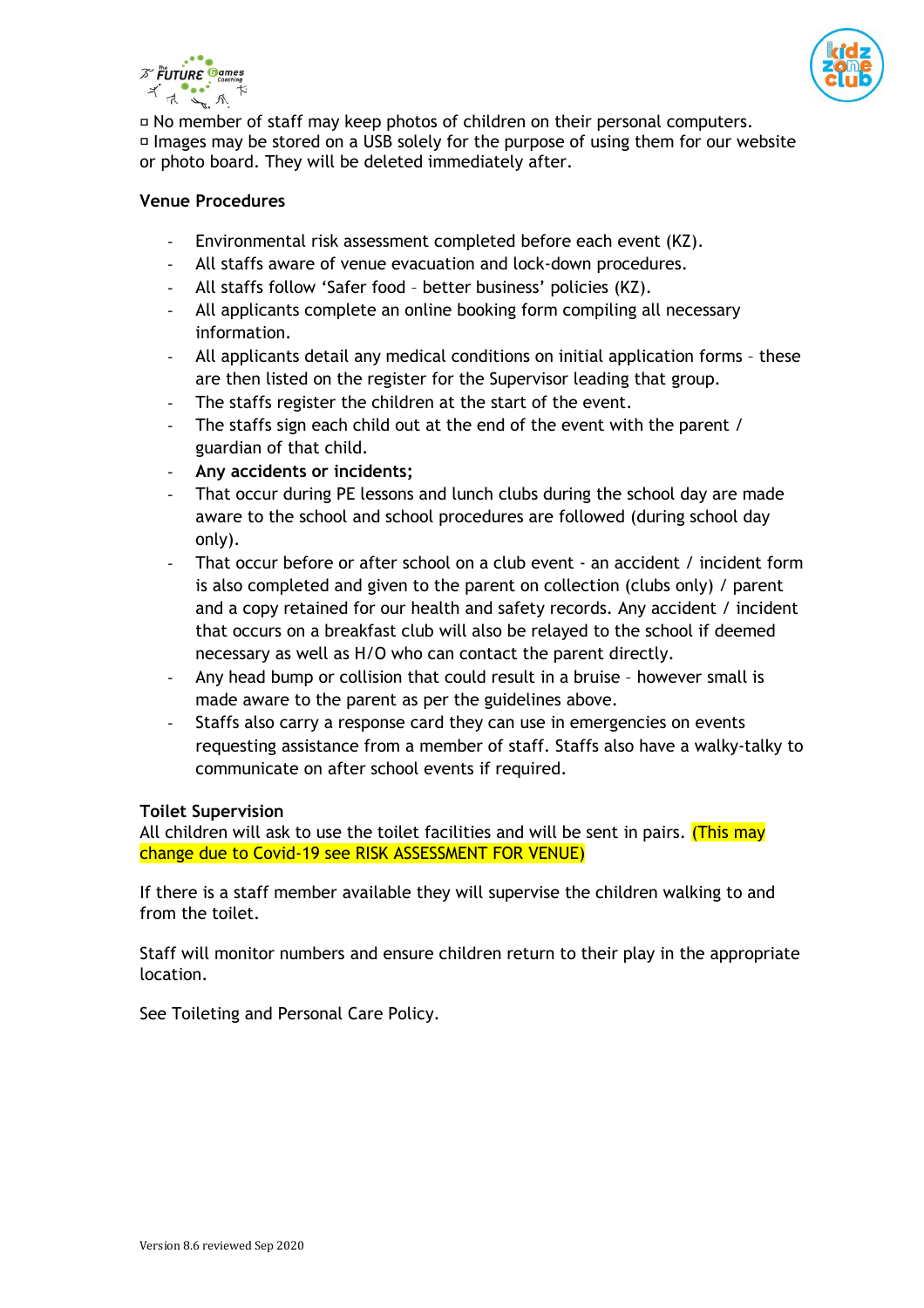



 $\overline{P}$  No member of staff may keep photos of children on their personal computers. Images may be stored on a USB solely for the purpose of using them for our website or photo board. They will be deleted immediately after.

## **Venue Procedures**

- Environmental risk assessment completed before each event (KZ).
- All staffs aware of venue evacuation and lock-down procedures.
- All staffs follow 'Safer food better business' policies (KZ).
- All applicants complete an online booking form compiling all necessary information.
- All applicants detail any medical conditions on initial application forms these are then listed on the register for the Supervisor leading that group.
- The staffs register the children at the start of the event.
- The staffs sign each child out at the end of the event with the parent / guardian of that child.
- **Any accidents or incidents;**
- That occur during PE lessons and lunch clubs during the school day are made aware to the school and school procedures are followed (during school day only).
- That occur before or after school on a club event an accident / incident form is also completed and given to the parent on collection (clubs only) / parent and a copy retained for our health and safety records. Any accident / incident that occurs on a breakfast club will also be relayed to the school if deemed necessary as well as H/O who can contact the parent directly.
- Any head bump or collision that could result in a bruise however small is made aware to the parent as per the guidelines above.
- Staffs also carry a response card they can use in emergencies on events requesting assistance from a member of staff. Staffs also have a walky-talky to communicate on after school events if required.

## **Toilet Supervision**

All children will ask to use the toilet facilities and will be sent in pairs. (This may change due to Covid-19 see RISK ASSESSMENT FOR VENUE)

If there is a staff member available they will supervise the children walking to and from the toilet.

Staff will monitor numbers and ensure children return to their play in the appropriate location.

See Toileting and Personal Care Policy.